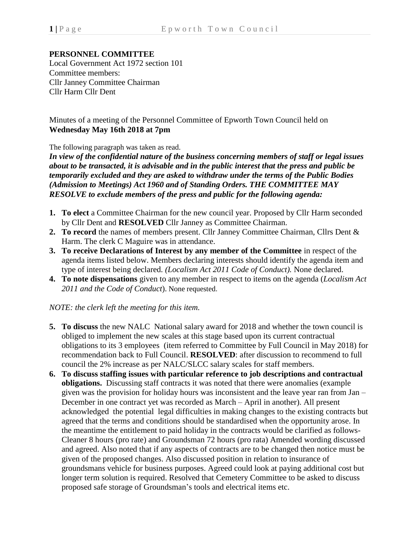## **PERSONNEL COMMITTEE**

Local Government Act 1972 section 101 Committee members: Cllr Janney Committee Chairman Cllr Harm Cllr Dent

## Minutes of a meeting of the Personnel Committee of Epworth Town Council held on **Wednesday May 16th 2018 at 7pm**

## The following paragraph was taken as read.

*In view of the confidential nature of the business concerning members of staff or legal issues about to be transacted, it is advisable and in the public interest that the press and public be temporarily excluded and they are asked to withdraw under the terms of the Public Bodies (Admission to Meetings) Act 1960 and of Standing Orders. THE COMMITTEE MAY RESOLVE to exclude members of the press and public for the following agenda:*

- **1. To elect** a Committee Chairman for the new council year. Proposed by Cllr Harm seconded by Cllr Dent and **RESOLVED** Cllr Janney as Committee Chairman.
- **2. To record** the names of members present. Cllr Janney Committee Chairman, Cllrs Dent & Harm. The clerk C Maguire was in attendance.
- **3. To receive Declarations of Interest by any member of the Committee** in respect of the agenda items listed below. Members declaring interests should identify the agenda item and type of interest being declared. *(Localism Act 2011 Code of Conduct).* None declared.
- **4. To note dispensations** given to any member in respect to items on the agenda (*Localism Act 2011 and the Code of Conduct*). None requested.

*NOTE: the clerk left the meeting for this item.*

- **5. To discuss** the new NALC National salary award for 2018 and whether the town council is obliged to implement the new scales at this stage based upon its current contractual obligations to its 3 employees (item referred to Committee by Full Council in May 2018) for recommendation back to Full Council. **RESOLVED**: after discussion to recommend to full council the 2% increase as per NALC/SLCC salary scales for staff members.
- **6. To discuss staffing issues with particular reference to job descriptions and contractual obligations.** Discussing staff contracts it was noted that there were anomalies (example given was the provision for holiday hours was inconsistent and the leave year ran from Jan – December in one contract yet was recorded as March – April in another). All present acknowledged the potential legal difficulties in making changes to the existing contracts but agreed that the terms and conditions should be standardised when the opportunity arose. In the meantime the entitlement to paid holiday in the contracts would be clarified as follows-Cleaner 8 hours (pro rate) and Groundsman 72 hours (pro rata) Amended wording discussed and agreed. Also noted that if any aspects of contracts are to be changed then notice must be given of the proposed changes. Also discussed position in relation to insurance of groundsmans vehicle for business purposes. Agreed could look at paying additional cost but longer term solution is required. Resolved that Cemetery Committee to be asked to discuss proposed safe storage of Groundsman's tools and electrical items etc.